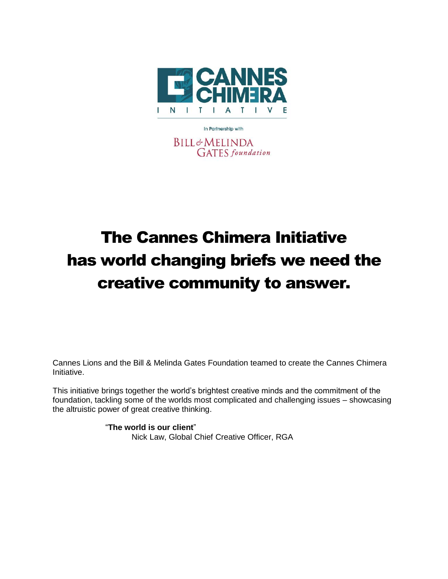

In Partnership with **BILL&MELINDA GATES** foundation

# The Cannes Chimera Initiative has world changing briefs we need the creative community to answer.

Cannes Lions and the Bill & Melinda Gates Foundation teamed to create the Cannes Chimera Initiative.

This initiative brings together the world's brightest creative minds and the commitment of the foundation, tackling some of the worlds most complicated and challenging issues – showcasing the altruistic power of great creative thinking.

> "**The world is our client**" Nick Law, Global Chief Creative Officer, RGA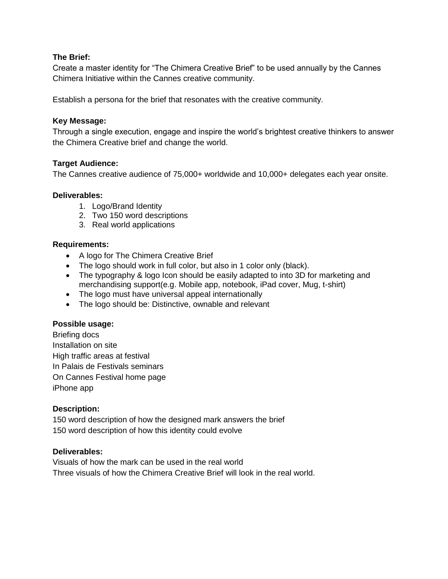## **The Brief:**

Create a master identity for "The Chimera Creative Brief" to be used annually by the Cannes Chimera Initiative within the Cannes creative community.

Establish a persona for the brief that resonates with the creative community.

## **Key Message:**

Through a single execution, engage and inspire the world's brightest creative thinkers to answer the Chimera Creative brief and change the world.

# **Target Audience:**

The Cannes creative audience of 75,000+ worldwide and 10,000+ delegates each year onsite.

# **Deliverables:**

- 1. Logo/Brand Identity
- 2. Two 150 word descriptions
- 3. Real world applications

# **Requirements:**

- A logo for The Chimera Creative Brief
- The logo should work in full color, but also in 1 color only (black).
- The typography & logo Icon should be easily adapted to into 3D for marketing and merchandising support(e.g. Mobile app, notebook, iPad cover, Mug, t-shirt)
- The logo must have universal appeal internationally
- The logo should be: Distinctive, ownable and relevant

## **Possible usage:**

Briefing docs Installation on site High traffic areas at festival In Palais de Festivals seminars On Cannes Festival home page iPhone app

## **Description:**

150 word description of how the designed mark answers the brief 150 word description of how this identity could evolve

## **Deliverables:**

Visuals of how the mark can be used in the real world Three visuals of how the Chimera Creative Brief will look in the real world.